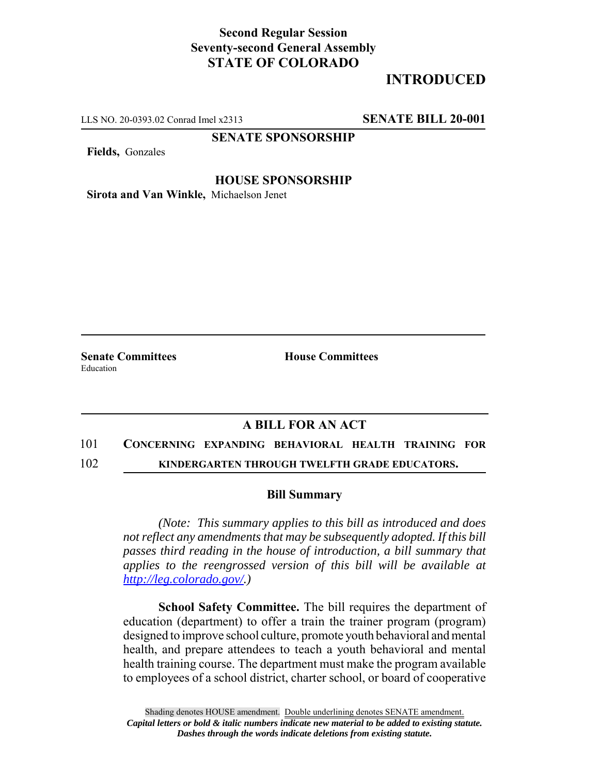## **Second Regular Session Seventy-second General Assembly STATE OF COLORADO**

# **INTRODUCED**

LLS NO. 20-0393.02 Conrad Imel x2313 **SENATE BILL 20-001**

## **SENATE SPONSORSHIP**

**Fields,** Gonzales

#### **HOUSE SPONSORSHIP**

**Sirota and Van Winkle,** Michaelson Jenet

**Senate Committees House Committees** Education

## **A BILL FOR AN ACT**

## 101 **CONCERNING EXPANDING BEHAVIORAL HEALTH TRAINING FOR**

102 **KINDERGARTEN THROUGH TWELFTH GRADE EDUCATORS.**

#### **Bill Summary**

*(Note: This summary applies to this bill as introduced and does not reflect any amendments that may be subsequently adopted. If this bill passes third reading in the house of introduction, a bill summary that applies to the reengrossed version of this bill will be available at http://leg.colorado.gov/.)*

**School Safety Committee.** The bill requires the department of education (department) to offer a train the trainer program (program) designed to improve school culture, promote youth behavioral and mental health, and prepare attendees to teach a youth behavioral and mental health training course. The department must make the program available to employees of a school district, charter school, or board of cooperative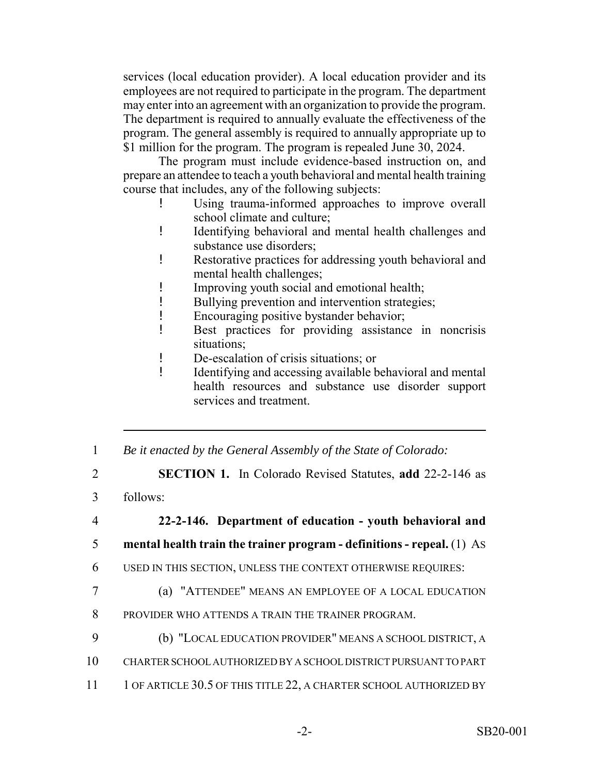services (local education provider). A local education provider and its employees are not required to participate in the program. The department may enter into an agreement with an organization to provide the program. The department is required to annually evaluate the effectiveness of the program. The general assembly is required to annually appropriate up to \$1 million for the program. The program is repealed June 30, 2024.

The program must include evidence-based instruction on, and prepare an attendee to teach a youth behavioral and mental health training course that includes, any of the following subjects:

- ! Using trauma-informed approaches to improve overall school climate and culture;
- ! Identifying behavioral and mental health challenges and substance use disorders;
- ! Restorative practices for addressing youth behavioral and mental health challenges;
- ! Improving youth social and emotional health;
- ! Bullying prevention and intervention strategies;
- ! Encouraging positive bystander behavior;
- ! Best practices for providing assistance in noncrisis situations;
- ! De-escalation of crisis situations; or
- ! Identifying and accessing available behavioral and mental health resources and substance use disorder support services and treatment.
- 1 *Be it enacted by the General Assembly of the State of Colorado:*
- 2 **SECTION 1.** In Colorado Revised Statutes, **add** 22-2-146 as
- 3 follows:
- 4 **22-2-146. Department of education youth behavioral and**
- 5 **mental health train the trainer program definitions repeal.** (1) AS
- 6 USED IN THIS SECTION, UNLESS THE CONTEXT OTHERWISE REQUIRES:
- 7 (a) "ATTENDEE" MEANS AN EMPLOYEE OF A LOCAL EDUCATION
- 8 PROVIDER WHO ATTENDS A TRAIN THE TRAINER PROGRAM.
- 9 (b) "LOCAL EDUCATION PROVIDER" MEANS A SCHOOL DISTRICT, A
- 10 CHARTER SCHOOL AUTHORIZED BY A SCHOOL DISTRICT PURSUANT TO PART
- 11 1 OF ARTICLE 30.5 OF THIS TITLE 22, A CHARTER SCHOOL AUTHORIZED BY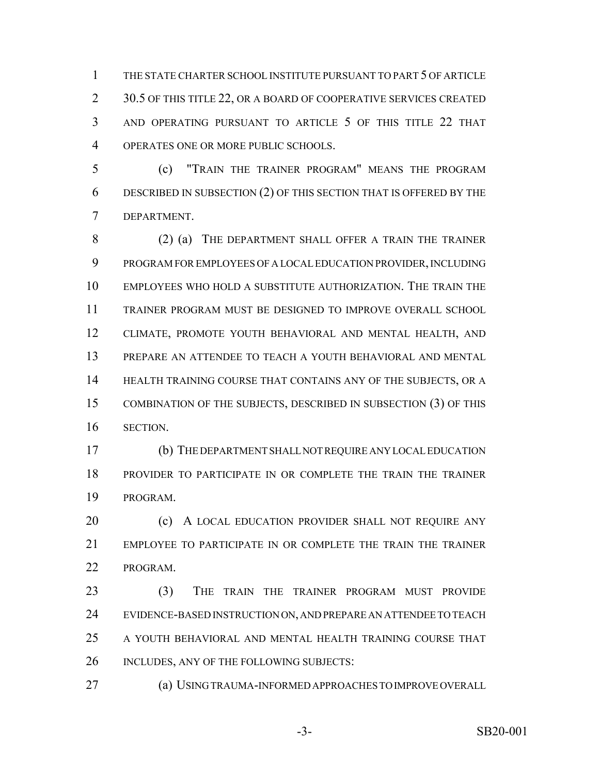THE STATE CHARTER SCHOOL INSTITUTE PURSUANT TO PART 5 OF ARTICLE 2 30.5 OF THIS TITLE 22, OR A BOARD OF COOPERATIVE SERVICES CREATED AND OPERATING PURSUANT TO ARTICLE 5 OF THIS TITLE 22 THAT OPERATES ONE OR MORE PUBLIC SCHOOLS.

 (c) "TRAIN THE TRAINER PROGRAM" MEANS THE PROGRAM DESCRIBED IN SUBSECTION (2) OF THIS SECTION THAT IS OFFERED BY THE DEPARTMENT.

8 (2) (a) THE DEPARTMENT SHALL OFFER A TRAIN THE TRAINER PROGRAM FOR EMPLOYEES OF A LOCAL EDUCATION PROVIDER, INCLUDING EMPLOYEES WHO HOLD A SUBSTITUTE AUTHORIZATION. THE TRAIN THE TRAINER PROGRAM MUST BE DESIGNED TO IMPROVE OVERALL SCHOOL CLIMATE, PROMOTE YOUTH BEHAVIORAL AND MENTAL HEALTH, AND PREPARE AN ATTENDEE TO TEACH A YOUTH BEHAVIORAL AND MENTAL HEALTH TRAINING COURSE THAT CONTAINS ANY OF THE SUBJECTS, OR A COMBINATION OF THE SUBJECTS, DESCRIBED IN SUBSECTION (3) OF THIS SECTION.

 (b) THE DEPARTMENT SHALL NOT REQUIRE ANY LOCAL EDUCATION PROVIDER TO PARTICIPATE IN OR COMPLETE THE TRAIN THE TRAINER PROGRAM.

**(c)** A LOCAL EDUCATION PROVIDER SHALL NOT REQUIRE ANY EMPLOYEE TO PARTICIPATE IN OR COMPLETE THE TRAIN THE TRAINER PROGRAM.

 (3) THE TRAIN THE TRAINER PROGRAM MUST PROVIDE EVIDENCE-BASED INSTRUCTION ON, AND PREPARE AN ATTENDEE TO TEACH A YOUTH BEHAVIORAL AND MENTAL HEALTH TRAINING COURSE THAT 26 INCLUDES, ANY OF THE FOLLOWING SUBJECTS:

(a) USING TRAUMA-INFORMED APPROACHES TO IMPROVE OVERALL

-3- SB20-001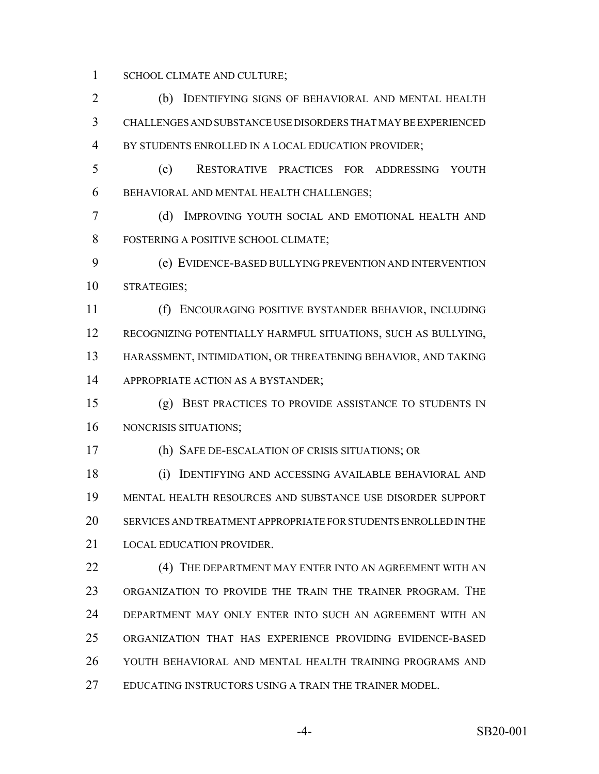SCHOOL CLIMATE AND CULTURE;

 (b) IDENTIFYING SIGNS OF BEHAVIORAL AND MENTAL HEALTH CHALLENGES AND SUBSTANCE USE DISORDERS THAT MAY BE EXPERIENCED BY STUDENTS ENROLLED IN A LOCAL EDUCATION PROVIDER;

 (c) RESTORATIVE PRACTICES FOR ADDRESSING YOUTH BEHAVIORAL AND MENTAL HEALTH CHALLENGES;

 (d) IMPROVING YOUTH SOCIAL AND EMOTIONAL HEALTH AND FOSTERING A POSITIVE SCHOOL CLIMATE;

 (e) EVIDENCE-BASED BULLYING PREVENTION AND INTERVENTION STRATEGIES;

 (f) ENCOURAGING POSITIVE BYSTANDER BEHAVIOR, INCLUDING RECOGNIZING POTENTIALLY HARMFUL SITUATIONS, SUCH AS BULLYING, HARASSMENT, INTIMIDATION, OR THREATENING BEHAVIOR, AND TAKING 14 APPROPRIATE ACTION AS A BYSTANDER;

- (g) BEST PRACTICES TO PROVIDE ASSISTANCE TO STUDENTS IN NONCRISIS SITUATIONS;
- 

(h) SAFE DE-ESCALATION OF CRISIS SITUATIONS; OR

 (i) IDENTIFYING AND ACCESSING AVAILABLE BEHAVIORAL AND MENTAL HEALTH RESOURCES AND SUBSTANCE USE DISORDER SUPPORT SERVICES AND TREATMENT APPROPRIATE FOR STUDENTS ENROLLED IN THE LOCAL EDUCATION PROVIDER.

**(4) THE DEPARTMENT MAY ENTER INTO AN AGREEMENT WITH AN**  ORGANIZATION TO PROVIDE THE TRAIN THE TRAINER PROGRAM. THE DEPARTMENT MAY ONLY ENTER INTO SUCH AN AGREEMENT WITH AN ORGANIZATION THAT HAS EXPERIENCE PROVIDING EVIDENCE-BASED YOUTH BEHAVIORAL AND MENTAL HEALTH TRAINING PROGRAMS AND EDUCATING INSTRUCTORS USING A TRAIN THE TRAINER MODEL.